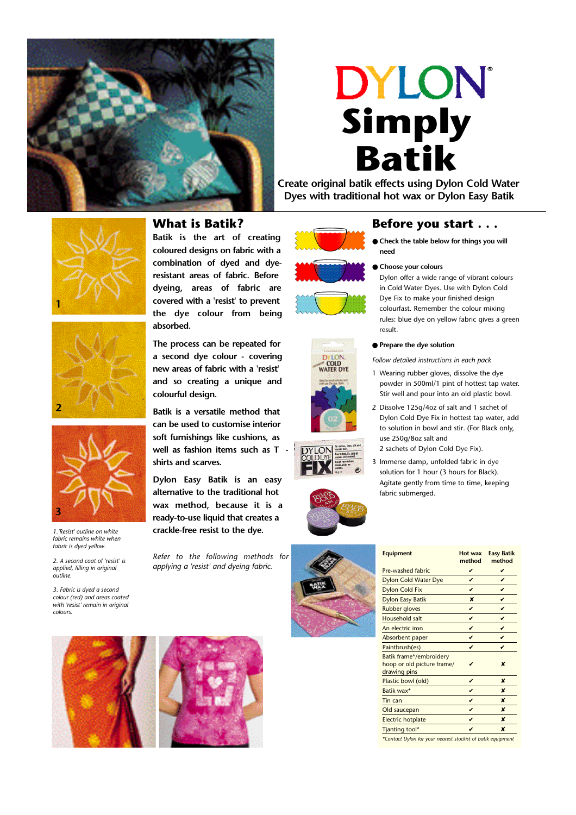

# **DYLON Simply Batik**

**Create original batik effects using Dylon Cold Water Dyes with traditional hot wax or Dylon Easy Batik**



*1.'Resist' outline on white fabric remains white when fabric is dyed yellow. 2. A second coat of 'resist' is applied, filling in original*

*3. Fabric is dyed a second colour (red) and areas coated with 'resist' remain in original*

*outline.*

**3**

**2**

*colours.*

## **What is Batik?**

**Batik is the art of creating coloured designs on fabric with a combination of dyed and dyeresistant areas of fabric. Before dyeing, areas of fabric are covered with a 'resist' to prevent the dye colour from being absorbed.**

**The process can be repeated for a second dye colour - covering new areas of fabric with a 'resist' and so creating a unique and colourful design.**

**Batik is a versatile method that can be used to customise interior soft furnishings like cushions, as well as fashion items such as T shirts and scarves.**

**Dylon Easy Batik is an easy alternative to the traditional hot wax method, because it is a ready-to-use liquid that creates a crackle-free resist to the dye.** 

*Refer to the following methods for applying a 'resist' and dyeing fabric.* 













- **Check the table below for things you will need**
- **Choose your colours**

Dylon offer a wide range of vibrant colours in Cold Water Dyes. Use with Dylon Cold Dye Fix to make your finished design colourfast. Remember the colour mixing rules: blue dye on yellow fabric gives a green result.

● **Prepare the dye solution**

*Follow detailed instructions in each pack*

- 1 Wearing rubber gloves, dissolve the dye powder in 500ml/1 pint of hottest tap water. Stir well and pour into an old plastic bowl.
- 2 Dissolve 125g/4oz of salt and 1 sachet of Dylon Cold Dye Fix in hottest tap water, add to solution in bowl and stir. (For Black only, use 250g/8oz salt and 2 sachets of Dylon Cold Dye Fix).
- 3 Immerse damp, unfolded fabric in dye solution for 1 hour (3 hours for Black). Agitate gently from time to time, keeping fabric submerged.



| method | method           |
|--------|------------------|
| V      | V                |
| ✓      | ✓                |
| V      | ✓                |
| ×      | V                |
| v      | v                |
| v      | ✓                |
| v      | v                |
| v      | ✓                |
| ✓      | ✓                |
|        | ×                |
| ✓      | ×                |
| v      | ×                |
| v      | ×                |
| ✓      | x                |
| ✓      | $\boldsymbol{x}$ |
| ✓      | ×                |
|        |                  |

**Equipment Hot wax Easy Batik**

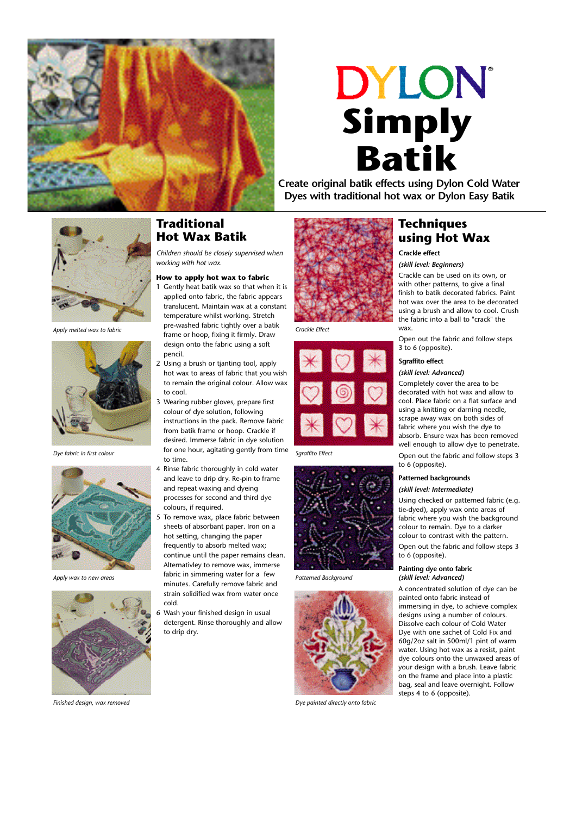

# **DYLON Simply Batik**

**Create original batik effects using Dylon Cold Water Dyes with traditional hot wax or Dylon Easy Batik**



*Apply melted wax to fabric*



*Dye fabric in first colour*



*Apply wax to new areas*



*Finished design, wax removed*

## **Traditional Hot Wax Batik**

*Children should be closely supervised when working with hot wax.*

#### **How to apply hot wax to fabric**

- 1 Gently heat batik wax so that when it is applied onto fabric, the fabric appears translucent. Maintain wax at a constant temperature whilst working. Stretch pre-washed fabric tightly over a batik frame or hoop, fixing it firmly. Draw design onto the fabric using a soft pencil.
- 2 Using a brush or tjanting tool, apply hot wax to areas of fabric that you wish to remain the original colour. Allow wax to cool.
- 3 Wearing rubber gloves, prepare first colour of dye solution, following instructions in the pack. Remove fabric from batik frame or hoop. Crackle if desired. Immerse fabric in dye solution for one hour, agitating gently from time to time.
- 4 Rinse fabric thoroughly in cold water and leave to drip dry. Re-pin to frame and repeat waxing and dyeing processes for second and third dye colours, if required.
- 5 To remove wax, place fabric between sheets of absorbant paper. Iron on a hot setting, changing the paper frequently to absorb melted wax; continue until the paper remains clean. Alternativley to remove wax, immerse fabric in simmering water for a few minutes. Carefully remove fabric and strain solidified wax from water once cold.
- Wash your finished design in usual detergent. Rinse thoroughly and allow to drip dry.



*Crackle Effect*



*Sgraffito Effect*



*Patterned Background*



*Dye painted directly onto fabric*

# **Techniques using Hot Wax**

## **Crackle effect**

#### *(skill level: Beginners)*

Crackle can be used on its own, or with other patterns, to give a final finish to batik decorated fabrics. Paint hot wax over the area to be decorated using a brush and allow to cool. Crush the fabric into a ball to "crack" the wax.

Open out the fabric and follow steps 3 to 6 (opposite).

#### **Sgraffito effect**

#### *(skill level: Advanced)*

Completely cover the area to be decorated with hot wax and allow to cool. Place fabric on a flat surface and using a knitting or darning needle, scrape away wax on both sides of fabric where you wish the dye to absorb. Ensure wax has been removed well enough to allow dye to penetrate.

Open out the fabric and follow steps 3 to 6 (opposite).

## **Patterned backgrounds**

#### *(skill level: Intermediate)*

Using checked or patterned fabric (e.g. tie-dyed), apply wax onto areas of fabric where you wish the background colour to remain. Dye to a darker colour to contrast with the pattern. Open out the fabric and follow steps 3

to 6 (opposite).

#### **Painting dye onto fabric** *(skill level: Advanced)*

A concentrated solution of dye can be painted onto fabric instead of immersing in dye, to achieve complex designs using a number of colours. Dissolve each colour of Cold Water Dye with one sachet of Cold Fix and 60g/2oz salt in 500ml/1 pint of warm water. Using hot wax as a resist, paint dye colours onto the unwaxed areas of your design with a brush. Leave fabric on the frame and place into a plastic bag, seal and leave overnight. Follow steps 4 to 6 (opposite).